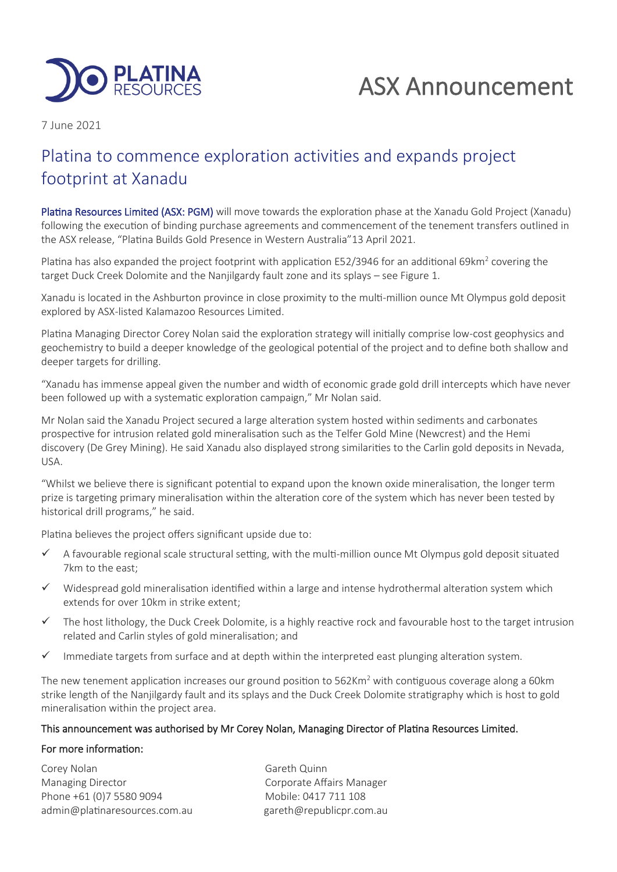

# ASX Announcement

7 June 2021

# Platina to commence exploration activities and expands project footprint at Xanadu

Platina Resources Limited (ASX: PGM) will move towards the exploration phase at the Xanadu Gold Project (Xanadu) following the execution of binding purchase agreements and commencement of the tenement transfers outlined in the ASX release, "Platina Builds Gold Presence in Western Australia"13 April 2021.

Platina has also expanded the project footprint with application E52/3946 for an additional 69km<sup>2</sup> covering the target Duck Creek Dolomite and the Nanjilgardy fault zone and its splays – see Figure 1.

Xanadu is located in the Ashburton province in close proximity to the multi-million ounce Mt Olympus gold deposit explored by ASX-listed Kalamazoo Resources Limited.

Platina Managing Director Corey Nolan said the exploration strategy will initially comprise low-cost geophysics and geochemistry to build a deeper knowledge of the geological potential of the project and to define both shallow and deeper targets for drilling.

"Xanadu has immense appeal given the number and width of economic grade gold drill intercepts which have never been followed up with a systematic exploration campaign," Mr Nolan said.

Mr Nolan said the Xanadu Project secured a large alteration system hosted within sediments and carbonates prospective for intrusion related gold mineralisation such as the Telfer Gold Mine (Newcrest) and the Hemi discovery (De Grey Mining). He said Xanadu also displayed strong similarities to the Carlin gold deposits in Nevada, USA.

"Whilst we believe there is significant potential to expand upon the known oxide mineralisation, the longer term prize is targeting primary mineralisation within the alteration core of the system which has never been tested by historical drill programs," he said.

Platina believes the project offers significant upside due to:

- ✓ A favourable regional scale structural setting, with the multi-million ounce Mt Olympus gold deposit situated 7km to the east;
- $\checkmark$  Widespread gold mineralisation identified within a large and intense hydrothermal alteration system which extends for over 10km in strike extent;
- $\checkmark$  The host lithology, the Duck Creek Dolomite, is a highly reactive rock and favourable host to the target intrusion related and Carlin styles of gold mineralisation; and
- ✓ Immediate targets from surface and at depth within the interpreted east plunging alteration system.

The new tenement application increases our ground position to  $562$ Km<sup>2</sup> with contiguous coverage along a 60km strike length of the Nanjilgardy fault and its splays and the Duck Creek Dolomite stratigraphy which is host to gold mineralisation within the project area.

# This announcement was authorised by Mr Corey Nolan, Managing Director of Platina Resources Limited.

# For more information:

Corey Nolan Gareth Quinn Managing Director **Communists** Corporate Affairs Manager Phone +61 (0)7 5580 9094 Mobile: 0417 711 108 admin@platinaresources.com.au gareth@republicpr.com.au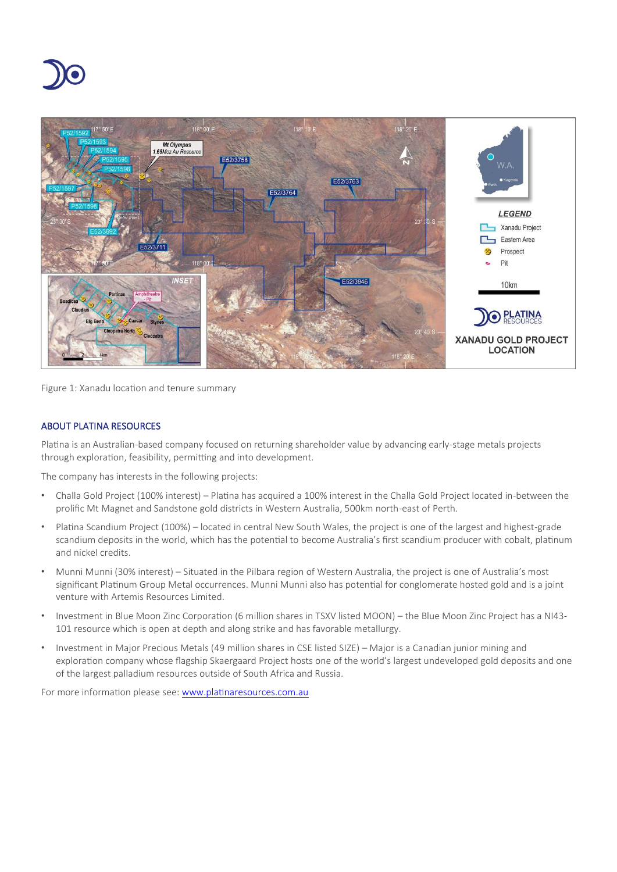



Figure 1: Xanadu location and tenure summary

# ABOUT PLATINA RESOURCES

Platina is an Australian-based company focused on returning shareholder value by advancing early-stage metals projects through exploration, feasibility, permitting and into development.

The company has interests in the following projects:

- Challa Gold Project (100% interest) Platina has acquired a 100% interest in the Challa Gold Project located in-between the prolific Mt Magnet and Sandstone gold districts in Western Australia, 500km north-east of Perth.
- Platina Scandium Project (100%) located in central New South Wales, the project is one of the largest and highest-grade scandium deposits in the world, which has the potential to become Australia's first scandium producer with cobalt, platinum and nickel credits.
- Munni Munni (30% interest) Situated in the Pilbara region of Western Australia, the project is one of Australia's most significant Platinum Group Metal occurrences. Munni Munni also has potential for conglomerate hosted gold and is a joint venture with Artemis Resources Limited.
- Investment in Blue Moon Zinc Corporation (6 million shares in TSXV listed MOON) the Blue Moon Zinc Project has a NI43- 101 resource which is open at depth and along strike and has favorable metallurgy.
- Investment in Major Precious Metals (49 million shares in CSE listed SIZE) Major is a Canadian junior mining and exploration company whose flagship Skaergaard Project hosts one of the world's largest undeveloped gold deposits and one of the largest palladium resources outside of South Africa and Russia.

For more information please see[: www.platinaresources.com.au](http://www.platinaresources.com.au/)